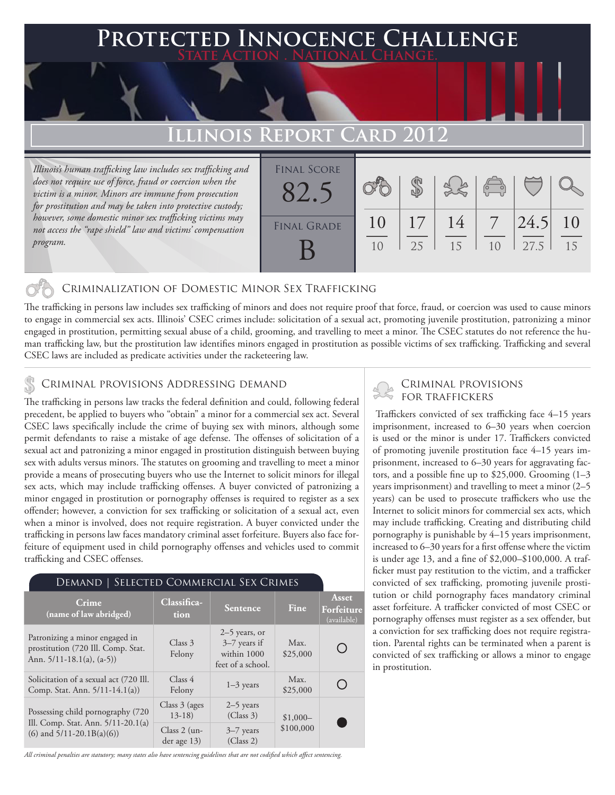### **FED INNOCENCE CHALLENGE State Action . National Change.**

## **Illinois Report Card 2012**

*Illinois's human trafficking law includes sex trafficking and does not require use of force, fraud or coercion when the victim is a minor. Minors are immune from prosecution for prostitution and may be taken into protective custody; however, some domestic minor sex trafficking victims may not access the "rape shield" law and victims' compensation program.*

| <b>FINAL SCORE</b> |          |          |          | $\sqrt{\frac{1}{10}}$ |              |          |
|--------------------|----------|----------|----------|-----------------------|--------------|----------|
| <b>FINAL GRADE</b> | 10<br>10 | 17<br>25 | 14<br>15 | 10                    | 24.5<br>27.5 | 10<br>15 |

#### Criminalization of Domestic Minor Sex Trafficking

The trafficking in persons law includes sex trafficking of minors and does not require proof that force, fraud, or coercion was used to cause minors to engage in commercial sex acts. Illinois' CSEC crimes include: solicitation of a sexual act, promoting juvenile prostitution, patronizing a minor engaged in prostitution, permitting sexual abuse of a child, grooming, and travelling to meet a minor. The CSEC statutes do not reference the human trafficking law, but the prostitution law identifies minors engaged in prostitution as possible victims of sex trafficking. Trafficking and several CSEC laws are included as predicate activities under the racketeering law.

#### Criminal provisions Addressing demand

The trafficking in persons law tracks the federal definition and could, following federal precedent, be applied to buyers who "obtain" a minor for a commercial sex act. Several CSEC laws specifically include the crime of buying sex with minors, although some permit defendants to raise a mistake of age defense. The offenses of solicitation of a sexual act and patronizing a minor engaged in prostitution distinguish between buying sex with adults versus minors. The statutes on grooming and travelling to meet a minor provide a means of prosecuting buyers who use the Internet to solicit minors for illegal sex acts, which may include trafficking offenses. A buyer convicted of patronizing a minor engaged in prostitution or pornography offenses is required to register as a sex offender; however, a conviction for sex trafficking or solicitation of a sexual act, even when a minor is involved, does not require registration. A buyer convicted under the trafficking in persons law faces mandatory criminal asset forfeiture. Buyers also face forfeiture of equipment used in child pornography offenses and vehicles used to commit trafficking and CSEC offenses.

#### Demand | Selected Commercial Sex Crimes

| Crime<br>(name of law abridged)                                                                         | Classifica-<br>tion           | Sentence                                                              | Fine             | <b>Asset</b><br>Forfeiture<br>(available) |
|---------------------------------------------------------------------------------------------------------|-------------------------------|-----------------------------------------------------------------------|------------------|-------------------------------------------|
| Patronizing a minor engaged in<br>prostitution (720 Ill. Comp. Stat.<br>Ann. $5/11-18.1(a)$ , $(a-5)$ ) | Class 3<br>Felony             | $2-5$ years, or<br>$3-7$ years if<br>within 1000<br>feet of a school. | Max.<br>\$25,000 |                                           |
| Solicitation of a sexual act (720 Ill.<br>Comp. Stat. Ann. 5/11-14.1(a))                                | Class 4<br>Felony             | $1-3$ years                                                           | Max.<br>\$25,000 |                                           |
| Possessing child pornography (720)                                                                      | Class $3$ (ages)<br>$13-18$   | $2-5$ years<br>(Class 3)                                              | $$1,000-$        |                                           |
| Ill. Comp. Stat. Ann. 5/11-20.1(a)<br>$(6)$ and $5/11-20.1B(a)(6)$                                      | $Class 2 (un-$<br>der age 13) | $3-7$ years<br>(Class 2)                                              | \$100,000        |                                           |

*All criminal penalties are statutory; many states also have sentencing guidelines that are not codified which affect sentencing.* 

# Criminal provisions

 Traffickers convicted of sex trafficking face 4–15 years imprisonment, increased to 6–30 years when coercion is used or the minor is under 17. Traffickers convicted of promoting juvenile prostitution face 4–15 years imprisonment, increased to 6–30 years for aggravating factors, and a possible fine up to \$25,000. Grooming (1–3 years imprisonment) and travelling to meet a minor (2–5 years) can be used to prosecute traffickers who use the Internet to solicit minors for commercial sex acts, which may include trafficking. Creating and distributing child pornography is punishable by 4–15 years imprisonment, increased to 6–30 years for a first offense where the victim is under age 13, and a fine of \$2,000–\$100,000. A trafficker must pay restitution to the victim, and a trafficker convicted of sex trafficking, promoting juvenile prostitution or child pornography faces mandatory criminal asset forfeiture. A trafficker convicted of most CSEC or pornography offenses must register as a sex offender, but a conviction for sex trafficking does not require registration. Parental rights can be terminated when a parent is convicted of sex trafficking or allows a minor to engage in prostitution.